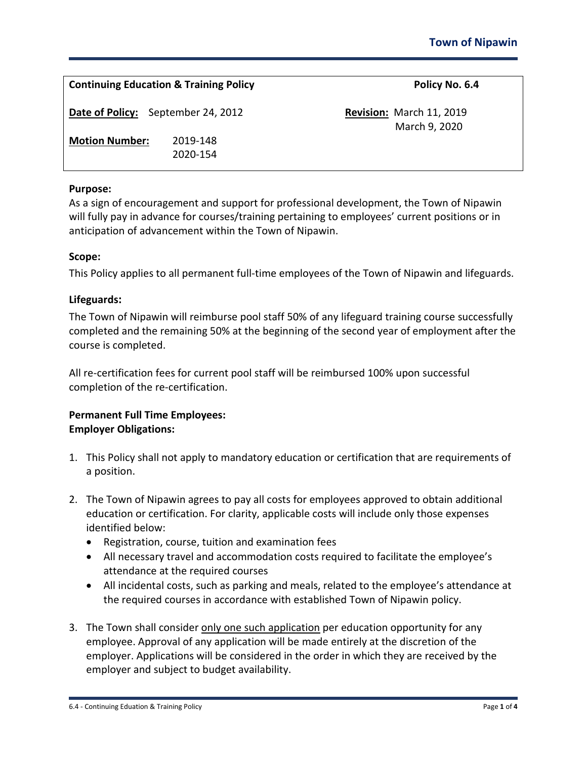| <b>Continuing Education &amp; Training Policy</b> |                      | Policy No. 6.4                                   |
|---------------------------------------------------|----------------------|--------------------------------------------------|
| Date of Policy: September 24, 2012                |                      | <b>Revision: March 11, 2019</b><br>March 9, 2020 |
| <b>Motion Number:</b>                             | 2019-148<br>2020-154 |                                                  |

### **Purpose:**

As a sign of encouragement and support for professional development, the Town of Nipawin will fully pay in advance for courses/training pertaining to employees' current positions or in anticipation of advancement within the Town of Nipawin.

#### **Scope:**

This Policy applies to all permanent full-time employees of the Town of Nipawin and lifeguards.

#### **Lifeguards:**

The Town of Nipawin will reimburse pool staff 50% of any lifeguard training course successfully completed and the remaining 50% at the beginning of the second year of employment after the course is completed.

All re-certification fees for current pool staff will be reimbursed 100% upon successful completion of the re-certification.

## **Permanent Full Time Employees: Employer Obligations:**

- 1. This Policy shall not apply to mandatory education or certification that are requirements of a position.
- 2. The Town of Nipawin agrees to pay all costs for employees approved to obtain additional education or certification. For clarity, applicable costs will include only those expenses identified below:
	- Registration, course, tuition and examination fees
	- All necessary travel and accommodation costs required to facilitate the employee's attendance at the required courses
	- All incidental costs, such as parking and meals, related to the employee's attendance at the required courses in accordance with established Town of Nipawin policy.
- 3. The Town shall consider only one such application per education opportunity for any employee. Approval of any application will be made entirely at the discretion of the employer. Applications will be considered in the order in which they are received by the employer and subject to budget availability.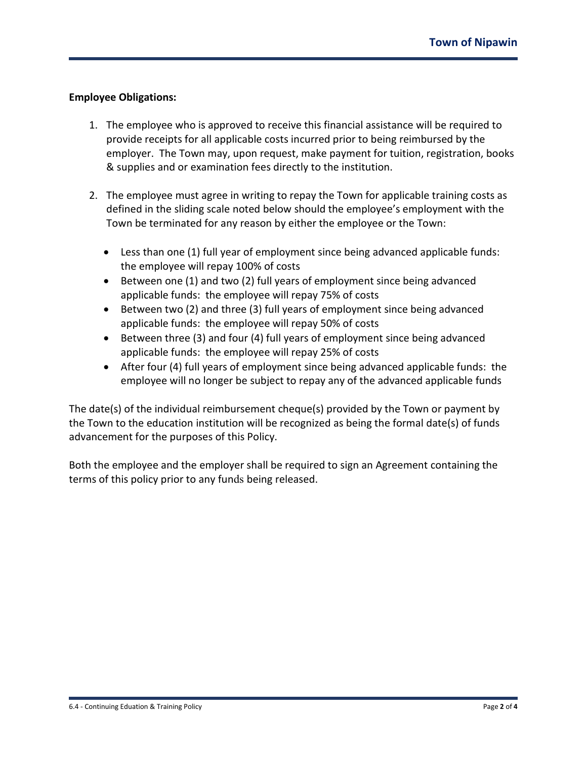## **Employee Obligations:**

- 1. The employee who is approved to receive this financial assistance will be required to provide receipts for all applicable costs incurred prior to being reimbursed by the employer. The Town may, upon request, make payment for tuition, registration, books & supplies and or examination fees directly to the institution.
- 2. The employee must agree in writing to repay the Town for applicable training costs as defined in the sliding scale noted below should the employee's employment with the Town be terminated for any reason by either the employee or the Town:
	- Less than one (1) full year of employment since being advanced applicable funds: the employee will repay 100% of costs
	- Between one (1) and two (2) full years of employment since being advanced applicable funds: the employee will repay 75% of costs
	- Between two (2) and three (3) full years of employment since being advanced applicable funds: the employee will repay 50% of costs
	- Between three (3) and four (4) full years of employment since being advanced applicable funds: the employee will repay 25% of costs
	- After four (4) full years of employment since being advanced applicable funds: the employee will no longer be subject to repay any of the advanced applicable funds

The date(s) of the individual reimbursement cheque(s) provided by the Town or payment by the Town to the education institution will be recognized as being the formal date(s) of funds advancement for the purposes of this Policy.

Both the employee and the employer shall be required to sign an Agreement containing the terms of this policy prior to any funds being released.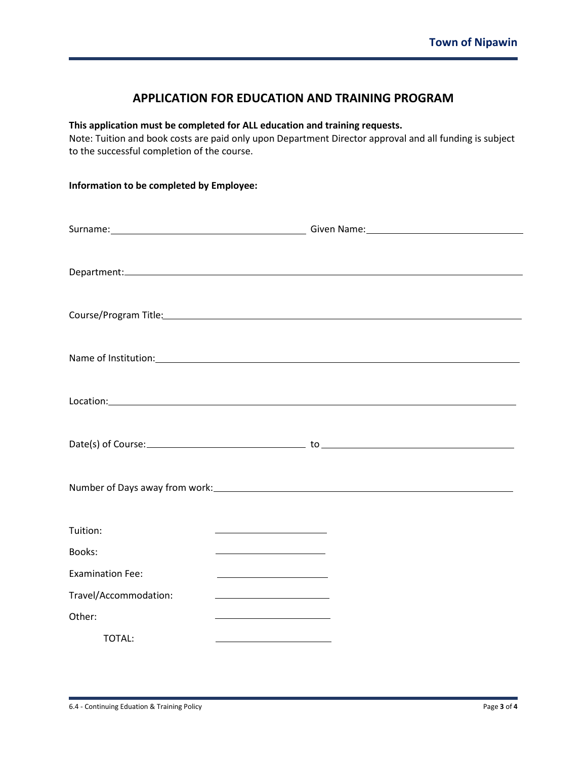# **APPLICATION FOR EDUCATION AND TRAINING PROGRAM**

## **This application must be completed for ALL education and training requests.**

Note: Tuition and book costs are paid only upon Department Director approval and all funding is subject to the successful completion of the course.

| Information to be completed by Employee: |                                                                                                                       |  |  |  |
|------------------------------------------|-----------------------------------------------------------------------------------------------------------------------|--|--|--|
|                                          |                                                                                                                       |  |  |  |
|                                          |                                                                                                                       |  |  |  |
|                                          |                                                                                                                       |  |  |  |
|                                          | Course/Program Title: Manual Course of Program Title:                                                                 |  |  |  |
|                                          | Name of Institution: Name of Institution:                                                                             |  |  |  |
|                                          |                                                                                                                       |  |  |  |
|                                          |                                                                                                                       |  |  |  |
|                                          |                                                                                                                       |  |  |  |
| Tuition:                                 | <u> 1989 - John Harry Harry Harry Harry Harry Harry Harry Harry Harry Harry Harry Harry Harry Harry Harry Harry</u>   |  |  |  |
| Books:                                   | <u> 1980 - Johann Barbara, martxa alemaniar a</u>                                                                     |  |  |  |
| <b>Examination Fee:</b>                  | <u> 1989 - Johann Harry Harry Harry Harry Harry Harry Harry Harry Harry Harry Harry Harry Harry Harry Harry Harry</u> |  |  |  |
| Travel/Accommodation:                    | the control of the control of the control of the control of                                                           |  |  |  |
| Other:                                   | the control of the control of the control of the control of                                                           |  |  |  |
| TOTAL:                                   | <u> 1980 - Johann Barbara, martxa alemaniar a</u>                                                                     |  |  |  |